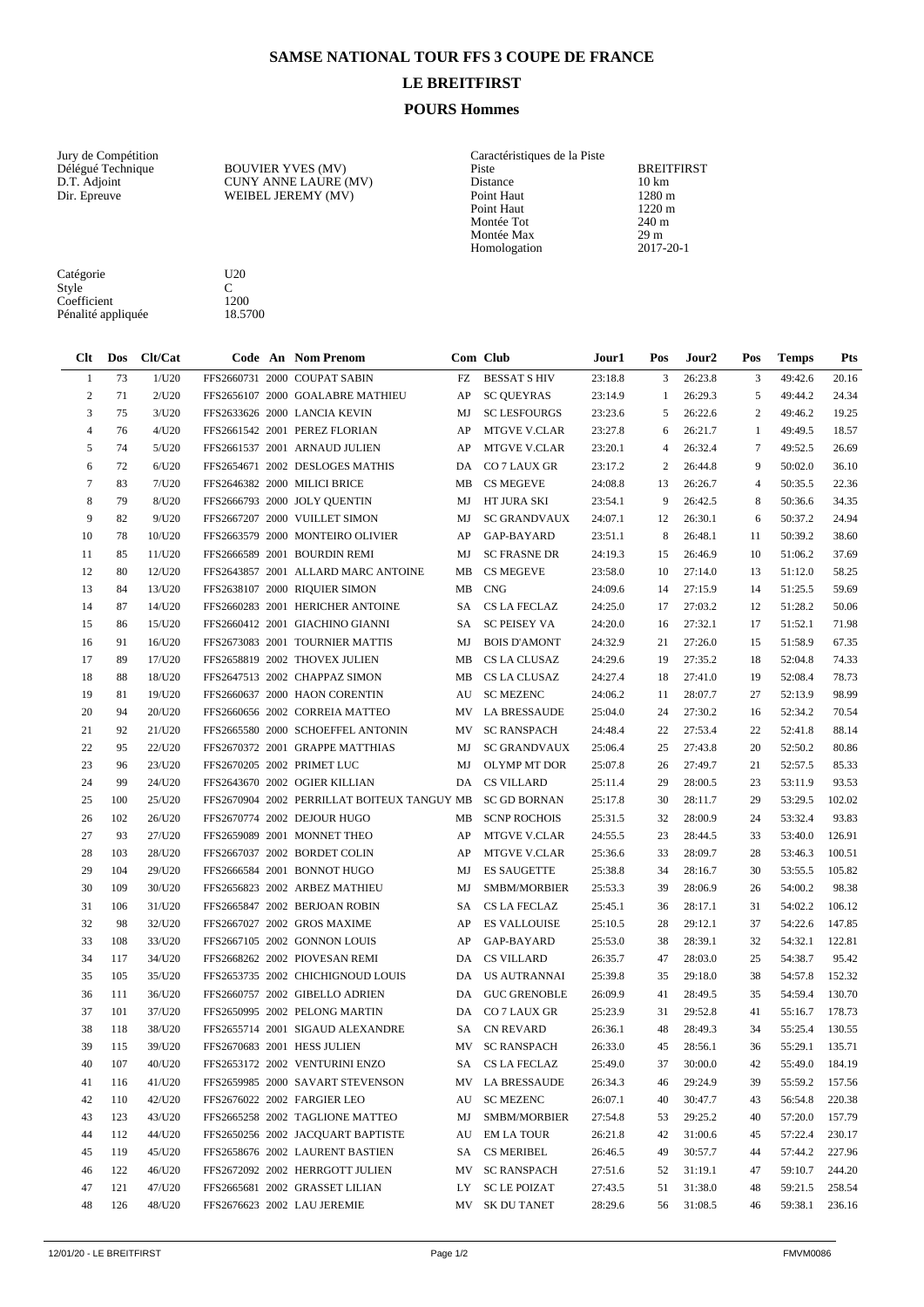## **SAMSE NATIONAL TOUR FFS 3 COUPE DE FRANCE**

## **LE BREITFIRST**

## **POURS Hommes**

Homologation

Fisitance<br>
Point Haut<br>
Point Haut<br>
Point Haut<br>
Montée Tot<br>
220 m<br>
240 m Montée Tot 240 m<br>Montée Max 29 m Montée Max 29 m<br>Homologation 2017-20-1

Vury de Compétition de la Piste Délégué Technique de la POUVIER YVES (MV) de Caractéristiques de la Piste de la Piste de la Piste de la Piste de la Piste de la Piste de la Piste de la Piste de la Piste de la Piste de la Pi Délégué Technique BOUVIER YVES (MV) Piste BREITFIRST D.T. Adjoint CUNY ANNE LAURE (MV) Distance 10 km Dir. Epreuve WEIBEL JEREMY (MV) Point Haut 1280 m

Catégorie U20<br>Style C Style C

| Coefficient<br>Pénalité appliquée |            | 1200<br>18.5700 |  |                                             |    |                     |         |                |                   |                |         |            |
|-----------------------------------|------------|-----------------|--|---------------------------------------------|----|---------------------|---------|----------------|-------------------|----------------|---------|------------|
| Clt                               | <b>Dos</b> | Clt/Cat         |  | <b>Code An Nom Prenom</b>                   |    | Com Club            | Jour 1  | Pos            | Jour <sub>2</sub> | Pos            | Temps   | <b>Pts</b> |
| -1                                | 73         | 1/U20           |  | FFS2660731 2000 COUPAT SABIN                | FZ | <b>BESSAT SHIV</b>  | 23:18.8 | 3              | 26:23.8           | 3              | 49:42.6 | 20.16      |
| $\boldsymbol{2}$                  | 71         | 2/U20           |  | FFS2656107 2000 GOALABRE MATHIEU            | AP | <b>SC QUEYRAS</b>   | 23:14.9 | 1              | 26:29.3           | 5              | 49:44.2 | 24.34      |
| 3                                 | 75         | 3/U20           |  | FFS2633626 2000 LANCIA KEVIN                | MJ | <b>SC LESFOURGS</b> | 23:23.6 | 5              | 26:22.6           | 2              | 49:46.2 | 19.25      |
| 4                                 | 76         | 4/U20           |  | FFS2661542 2001 PEREZ FLORIAN               | AP | <b>MTGVE V.CLAR</b> | 23:27.8 | 6              | 26:21.7           | 1              | 49:49.5 | 18.57      |
| 5                                 | 74         | 5/U20           |  | FFS2661537 2001 ARNAUD JULIEN               | AP | <b>MTGVE V.CLAR</b> | 23:20.1 | 4              | 26:32.4           | 7              | 49:52.5 | 26.69      |
| 6                                 | 72         | 6/U20           |  | FFS2654671 2002 DESLOGES MATHIS             | DA | CO 7 LAUX GR        | 23:17.2 | $\overline{c}$ | 26:44.8           | 9              | 50:02.0 | 36.10      |
| $\overline{7}$                    | 83         | 7/U20           |  | FFS2646382 2000 MILICI BRICE                | MB | <b>CS MEGEVE</b>    | 24:08.8 | 13             | 26:26.7           | $\overline{4}$ | 50:35.5 | 22.36      |
| 8                                 | 79         | 8/U20           |  | FFS2666793 2000 JOLY QUENTIN                | MJ | HT JURA SKI         | 23:54.1 | 9              | 26:42.5           | 8              | 50:36.6 | 34.35      |
| 9                                 | 82         | 9/U20           |  | FFS2667207 2000 VUILLET SIMON               | MJ | <b>SC GRANDVAUX</b> | 24:07.1 | 12             | 26:30.1           | 6              | 50:37.2 | 24.94      |
| 10                                | 78         | 10/U20          |  | FFS2663579 2000 MONTEIRO OLIVIER            | AP | GAP-BAYARD          | 23:51.1 | 8              | 26:48.1           | 11             | 50:39.2 | 38.60      |
| 11                                | 85         | 11/U20          |  | FFS2666589 2001 BOURDIN REMI                | MJ | <b>SC FRASNE DR</b> | 24:19.3 | 15             | 26:46.9           | 10             | 51:06.2 | 37.69      |
| 12                                | 80         | 12/U20          |  | FFS2643857 2001 ALLARD MARC ANTOINE         | MB | <b>CS MEGEVE</b>    | 23:58.0 | 10             | 27:14.0           | 13             | 51:12.0 | 58.25      |
| 13                                | 84         | 13/U20          |  | FFS2638107 2000 RIQUIER SIMON               | MВ | <b>CNG</b>          | 24:09.6 | 14             | 27:15.9           | 14             | 51:25.5 | 59.69      |
| 14                                | 87         | 14/U20          |  | FFS2660283 2001 HERICHER ANTOINE            | SA | <b>CS LA FECLAZ</b> | 24:25.0 | 17             | 27:03.2           | 12             | 51:28.2 | 50.06      |
| 15                                | 86         | 15/U20          |  | FFS2660412 2001 GIACHINO GIANNI             | SA | <b>SC PEISEY VA</b> | 24:20.0 | 16             | 27:32.1           | 17             | 51:52.1 | 71.98      |
| 16                                | 91         | 16/U20          |  | FFS2673083 2001 TOURNIER MATTIS             | MJ | <b>BOIS D'AMONT</b> | 24:32.9 | 21             | 27:26.0           | 15             | 51:58.9 | 67.35      |
| 17                                | 89         | 17/U20          |  | FFS2658819 2002 THOVEX JULIEN               | MB | CS LA CLUSAZ        | 24:29.6 | 19             | 27:35.2           | 18             | 52:04.8 | 74.33      |
| 18                                | 88         | 18/U20          |  | FFS2647513 2002 CHAPPAZ SIMON               | MB | CS LA CLUSAZ        | 24:27.4 | 18             | 27:41.0           | 19             | 52:08.4 | 78.73      |
| 19                                | 81         | 19/U20          |  | FFS2660637 2000 HAON CORENTIN               | AU | <b>SC MEZENC</b>    | 24:06.2 | 11             | 28:07.7           | 27             | 52:13.9 | 98.99      |
| 20                                | 94         | 20/U20          |  | FFS2660656 2002 CORREIA MATTEO              | MV | <b>LA BRESSAUDE</b> | 25:04.0 | 24             | 27:30.2           | 16             | 52:34.2 | 70.54      |
| 21                                | 92         | 21/U20          |  | FFS2665580 2000 SCHOEFFEL ANTONIN           | MV | <b>SC RANSPACH</b>  | 24:48.4 | 22             | 27:53.4           | 22             | 52:41.8 | 88.14      |
| 22                                | 95         | 22/U20          |  | FFS2670372 2001 GRAPPE MATTHIAS             | MJ | <b>SC GRANDVAUX</b> | 25:06.4 | 25             | 27:43.8           | 20             | 52:50.2 | 80.86      |
| 23                                | 96         | 23/U20          |  | FFS2670205 2002 PRIMET LUC                  | MJ | <b>OLYMP MT DOR</b> | 25:07.8 | 26             | 27:49.7           | 21             | 52:57.5 | 85.33      |
| 24                                | 99         | 24/U20          |  | FFS2643670 2002 OGIER KILLIAN               | DA | <b>CS VILLARD</b>   | 25:11.4 | 29             | 28:00.5           | 23             | 53:11.9 | 93.53      |
| 25                                | 100        | 25/U20          |  | FFS2670904 2002 PERRILLAT BOITEUX TANGUY MB |    | <b>SC GD BORNAN</b> | 25:17.8 | 30             | 28:11.7           | 29             | 53:29.5 | 102.02     |
| 26                                | 102        | 26/U20          |  | FFS2670774 2002 DEJOUR HUGO                 | MB | <b>SCNP ROCHOIS</b> | 25:31.5 | 32             | 28:00.9           | 24             | 53:32.4 | 93.83      |
| 27                                | 93         | 27/U20          |  | FFS2659089 2001 MONNET THEO                 | AP | <b>MTGVE V.CLAR</b> | 24:55.5 | 23             | 28:44.5           | 33             | 53:40.0 | 126.91     |
| 28                                | 103        | 28/U20          |  | FFS2667037 2002 BORDET COLIN                | AP | <b>MTGVE V.CLAR</b> | 25:36.6 | 33             | 28:09.7           | 28             | 53:46.3 | 100.51     |
| 29                                | 104        | 29/U20          |  | FFS2666584 2001 BONNOT HUGO                 | MJ | <b>ES SAUGETTE</b>  | 25:38.8 | 34             | 28:16.7           | 30             | 53:55.5 | 105.82     |
| 30                                | 109        | 30/U20          |  | FFS2656823 2002 ARBEZ MATHIEU               | MJ | SMBM/MORBIER        | 25:53.3 | 39             | 28:06.9           | 26             | 54:00.2 | 98.38      |
| 31                                | 106        | 31/U20          |  | FFS2665847 2002 BERJOAN ROBIN               | SА | <b>CS LA FECLAZ</b> | 25:45.1 | 36             | 28:17.1           | 31             | 54:02.2 | 106.12     |
| 32                                | 98         | 32/U20          |  | FFS2667027 2002 GROS MAXIME                 | AP | <b>ES VALLOUISE</b> | 25:10.5 | 28             | 29:12.1           | 37             | 54:22.6 | 147.85     |
| 33                                | 108        | 33/U20          |  | FFS2667105 2002 GONNON LOUIS                | AP | GAP-BAYARD          | 25:53.0 | 38             | 28:39.1           | 32             | 54:32.1 | 122.81     |
| 34                                | 117        | 34/U20          |  | FFS2668262 2002 PIOVESAN REMI               | DA | <b>CS VILLARD</b>   | 26:35.7 | 47             | 28:03.0           | 25             | 54:38.7 | 95.42      |
| 35                                | 105        | 35/U20          |  | FFS2653735 2002 CHICHIGNOUD LOUIS           | DA | <b>US AUTRANNAI</b> | 25:39.8 | 35             | 29:18.0           | 38             | 54:57.8 | 152.32     |
| 36                                | 111        | 36/U20          |  | FFS2660757 2002 GIBELLO ADRIEN              |    | DA GUC GRENOBLE     | 26:09.9 | 41             | 28:49.5           | 35             | 54:59.4 | 130.70     |
| 37                                | 101        | 37/U20          |  | FFS2650995 2002 PELONG MARTIN               | DA | CO 7 LAUX GR        | 25:23.9 | 31             | 29:52.8           | 41             | 55:16.7 | 178.73     |
| 38                                | 118        | 38/U20          |  | FFS2655714 2001 SIGAUD ALEXANDRE            | SA | <b>CN REVARD</b>    | 26:36.1 | 48             | 28:49.3           | 34             | 55:25.4 | 130.55     |
| 39                                | 115        | 39/U20          |  | FFS2670683 2001 HESS JULIEN                 | MV | <b>SC RANSPACH</b>  | 26:33.0 | 45             | 28:56.1           | 36             | 55:29.1 | 135.71     |
| 40                                | 107        | 40/U20          |  | FFS2653172 2002 VENTURINI ENZO              | SA | CS LA FECLAZ        | 25:49.0 | 37             | 30:00.0           | 42             | 55:49.0 | 184.19     |
| 41                                | 116        | 41/U20          |  | FFS2659985 2000 SAVART STEVENSON            | MV | <b>LA BRESSAUDE</b> | 26:34.3 | 46             | 29:24.9           | 39             | 55:59.2 | 157.56     |
| 42                                | 110        | 42/U20          |  | FFS2676022 2002 FARGIER LEO                 | AU | <b>SC MEZENC</b>    | 26:07.1 | 40             | 30:47.7           | 43             | 56:54.8 | 220.38     |
| 43                                | 123        | 43/U20          |  | FFS2665258 2002 TAGLIONE MATTEO             | MJ | SMBM/MORBIER        | 27:54.8 | 53             | 29:25.2           | 40             | 57:20.0 | 157.79     |
| 44                                | 112        | 44/U20          |  | FFS2650256 2002 JACQUART BAPTISTE           | AU | <b>EM LA TOUR</b>   | 26:21.8 | 42             | 31:00.6           | 45             | 57:22.4 | 230.17     |
| 45                                | 119        | 45/U20          |  | FFS2658676 2002 LAURENT BASTIEN             | SA | <b>CS MERIBEL</b>   | 26:46.5 | 49             | 30:57.7           | 44             | 57:44.2 | 227.96     |
| 46                                | 122        | 46/U20          |  | FFS2672092 2002 HERRGOTT JULIEN             | MV | <b>SC RANSPACH</b>  | 27:51.6 | 52             | 31:19.1           | 47             | 59:10.7 | 244.20     |
| 47                                | 121        | 47/U20          |  | FFS2665681 2002 GRASSET LILIAN              |    | LY SC LE POIZAT     | 27:43.5 | 51             | 31:38.0           | 48             | 59:21.5 | 258.54     |

126 48/U20 FFS2676623 2002 LAU JEREMIE MV SK DU TANET 28:29.6 56 31:08.5 46 59:38.1 236.16